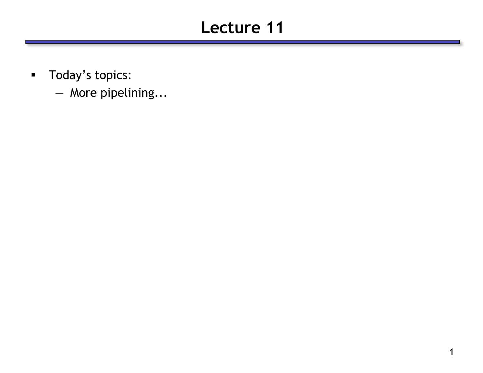# **Lecture 11**

- **Today's topics:** 
	- More pipelining...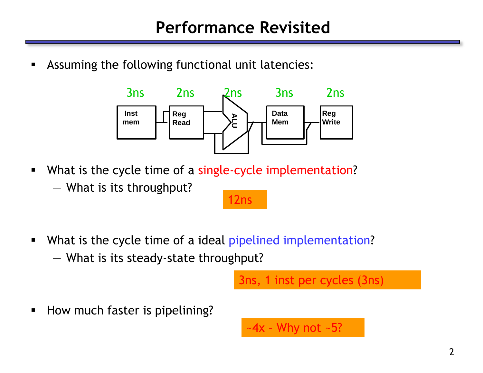Assuming the following functional unit latencies:



What is the cycle time of a single-cycle implementation?

— What is its throughput?

## 12ns

What is the cycle time of a ideal pipelined implementation? — What is its steady-state throughput?

3ns, 1 inst per cycles (3ns)

**How much faster is pipelining?** 

 $-4x$  - Why not  $-5$ ?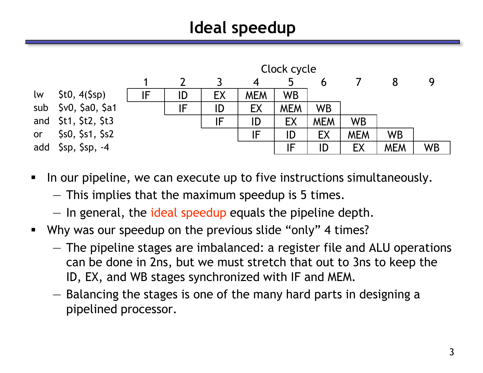# **Ideal speedup**



- In our pipeline, we can execute up to five instructions simultaneously.
	- This implies that the maximum speedup is 5 times.
	- In general, the ideal speedup equals the pipeline depth.
- Why was our speedup on the previous slide "only" 4 times?
	- The pipeline stages are imbalanced: a register file and ALU operations can be done in 2ns, but we must stretch that out to 3ns to keep the ID, EX, and WB stages synchronized with IF and MEM.
	- Balancing the stages is one of the many hard parts in designing a pipelined processor.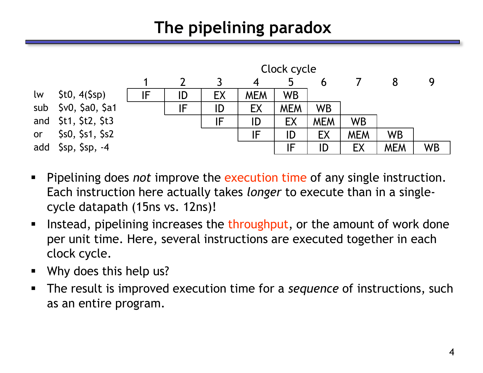# **The pipelining paradox**



- Pipelining does *not* improve the execution time of any single instruction. Each instruction here actually takes *longer* to execute than in a singlecycle datapath (15ns vs. 12ns)!
- Instead, pipelining increases the throughput, or the amount of work done per unit time. Here, several instructions are executed together in each clock cycle.
- Why does this help us?
- The result is improved execution time for a *sequence* of instructions, such as an entire program.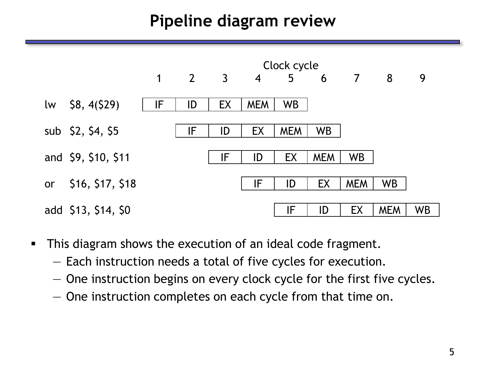## **Pipeline diagram review**



- **This diagram shows the execution of an ideal code fragment.** 
	- Each instruction needs a total of five cycles for execution.
	- One instruction begins on every clock cycle for the first five cycles.
	- One instruction completes on each cycle from that time on.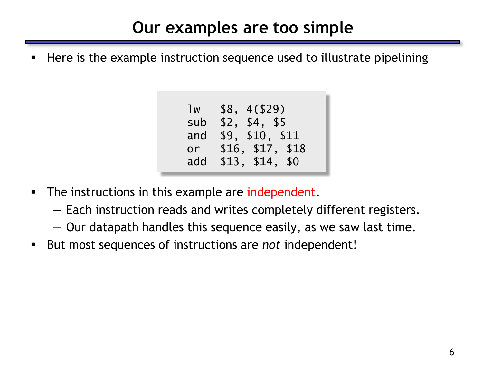## **Our examples are too simple**

Here is the example instruction sequence used to illustrate pipelining

| 1w  | \$8, 4(\$29)     |
|-----|------------------|
| sub | \$2, \$4, \$5    |
| and | \$9, \$10, \$11  |
| or  | \$16, \$17, \$18 |
| add | \$13, \$14, \$0  |

- The instructions in this example are independent.
	- Each instruction reads and writes completely different registers.
	- Our datapath handles this sequence easily, as we saw last time.
- But most sequences of instructions are *not* independent!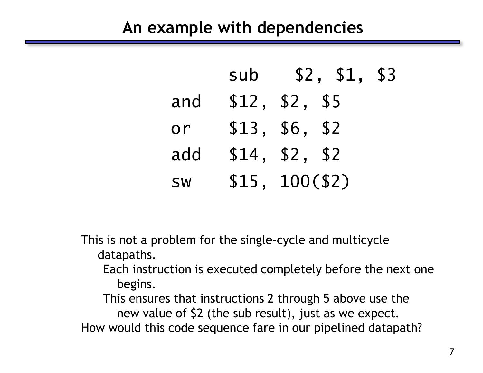#### **An example with dependencies**

|           | sub | \$2, \$1, \$3   |  |
|-----------|-----|-----------------|--|
| and       |     | \$12, \$2, \$5  |  |
| or        |     | \$13, \$6, \$2  |  |
| add       |     | \$14, \$2, \$2  |  |
| <b>SW</b> |     | \$15, 100 (\$2) |  |

This is not a problem for the single-cycle and multicycle datapaths.

Each instruction is executed completely before the next one begins.

This ensures that instructions 2 through 5 above use the new value of \$2 (the sub result), just as we expect. How would this code sequence fare in our pipelined datapath?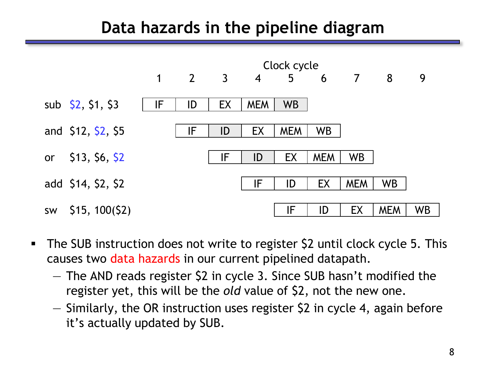### **Data hazards in the pipeline diagram**



- The SUB instruction does not write to register \$2 until clock cycle 5. This causes two data hazards in our current pipelined datapath.
	- The AND reads register \$2 in cycle 3. Since SUB hasn't modified the register yet, this will be the *old* value of \$2, not the new one.
	- $-$  Similarly, the OR instruction uses register \$2 in cycle 4, again before it's actually updated by SUB.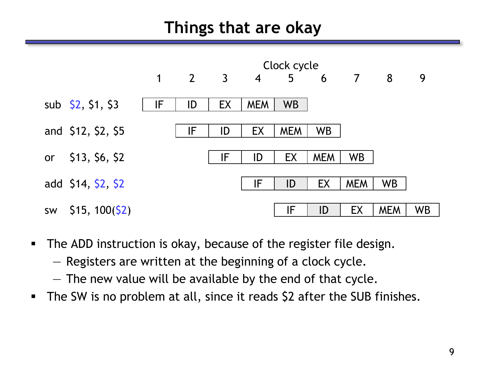## **Things that are okay**



- **The ADD instruction is okay, because of the register file design.** 
	- Registers are written at the beginning of a clock cycle.
	- The new value will be available by the end of that cycle.
- The SW is no problem at all, since it reads \$2 after the SUB finishes.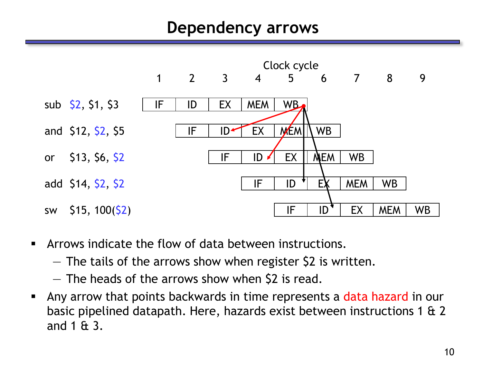#### **Dependency arrows**



- Arrows indicate the flow of data between instructions.
	- The tails of the arrows show when register \$2 is written.
	- The heads of the arrows show when \$2 is read.
- Any arrow that points backwards in time represents a data hazard in our basic pipelined datapath. Here, hazards exist between instructions 1 & 2 and 1 & 3.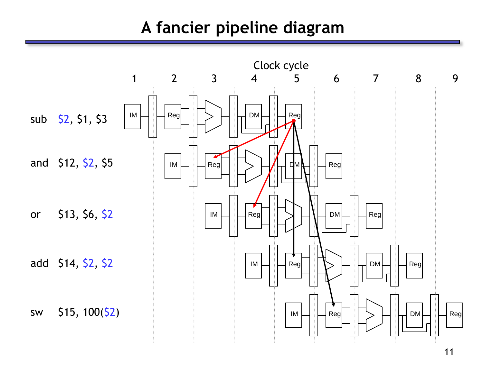## **A fancier pipeline diagram**

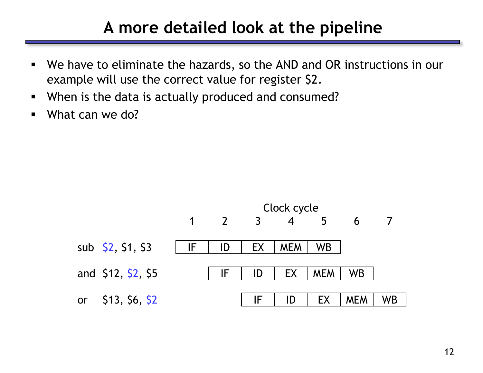#### **A more detailed look at the pipeline**

- We have to eliminate the hazards, so the AND and OR instructions in our example will use the correct value for register \$2.
- When is the data is actually produced and consumed?
- What can we do?

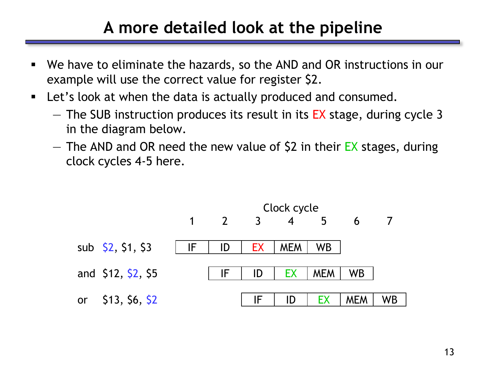## **A more detailed look at the pipeline**

- We have to eliminate the hazards, so the AND and OR instructions in our example will use the correct value for register \$2.
- Let's look at when the data is actually produced and consumed.
	- $-$  The SUB instruction produces its result in its EX stage, during cycle 3 in the diagram below.
	- $-$  The AND and OR need the new value of \$2 in their EX stages, during clock cycles 4-5 here.

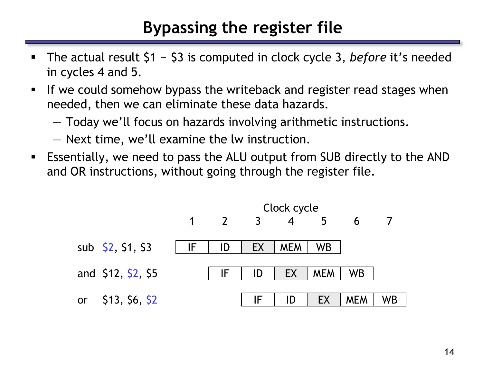## **Bypassing the register file**

- The actual result \$1 \$3 is computed in clock cycle 3, *before* it's needed in cycles 4 and 5.
- If we could somehow bypass the writeback and register read stages when needed, then we can eliminate these data hazards.
	- Today we'll focus on hazards involving arithmetic instructions.
	- Next time, we'll examine the lw instruction.
- Essentially, we need to pass the ALU output from SUB directly to the AND and OR instructions, without going through the register file.

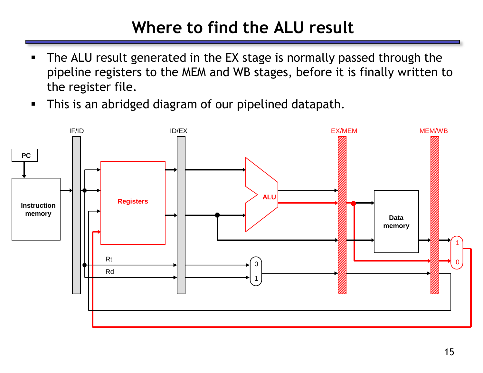# **Where to find the ALU result**

- The ALU result generated in the EX stage is normally passed through the pipeline registers to the MEM and WB stages, before it is finally written to the register file.
- **This is an abridged diagram of our pipelined datapath.**

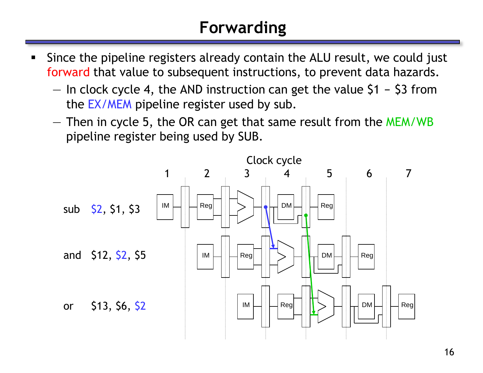# **Forwarding**

- Since the pipeline registers already contain the ALU result, we could just forward that value to subsequent instructions, to prevent data hazards.
	- $-$  In clock cycle 4, the AND instruction can get the value \$1 \$3 from the EX/MEM pipeline register used by sub.
	- Then in cycle 5, the OR can get that same result from the MEM/WB pipeline register being used by SUB.

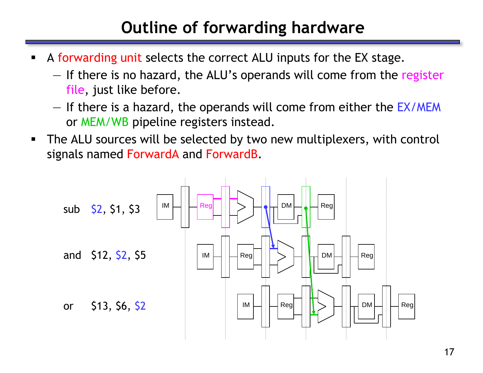# **Outline of forwarding hardware**

- A forwarding unit selects the correct ALU inputs for the EX stage.
	- If there is no hazard, the ALU's operands will come from the register file, just like before.
	- If there is a hazard, the operands will come from either the EX/MEM or MEM/WB pipeline registers instead.
- The ALU sources will be selected by two new multiplexers, with control signals named ForwardA and ForwardB.

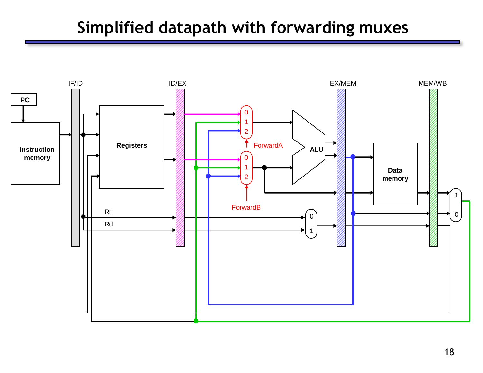## **Simplified datapath with forwarding muxes**

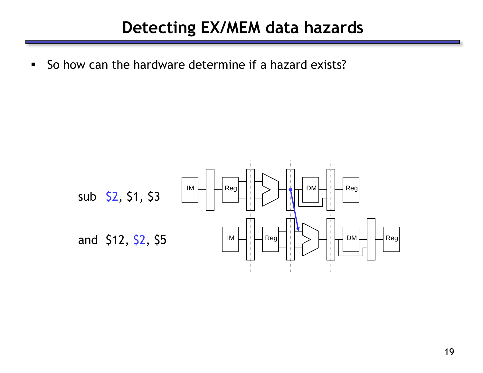## **Detecting EX/MEM data hazards**

So how can the hardware determine if a hazard exists?

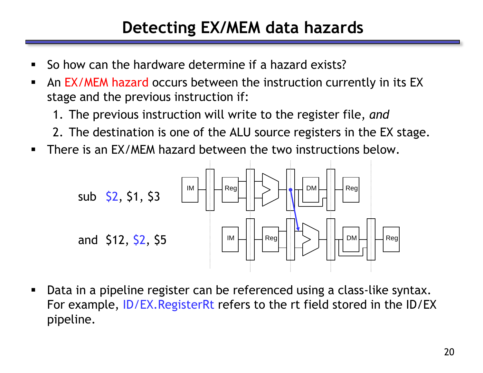## **Detecting EX/MEM data hazards**

- So how can the hardware determine if a hazard exists?
- An EX/MEM hazard occurs between the instruction currently in its EX stage and the previous instruction if:
	- 1. The previous instruction will write to the register file, *and*
	- 2. The destination is one of the ALU source registers in the EX stage.
- **There is an EX/MEM hazard between the two instructions below.**



 Data in a pipeline register can be referenced using a class-like syntax. For example, ID/EX.RegisterRt refers to the rt field stored in the ID/EX pipeline.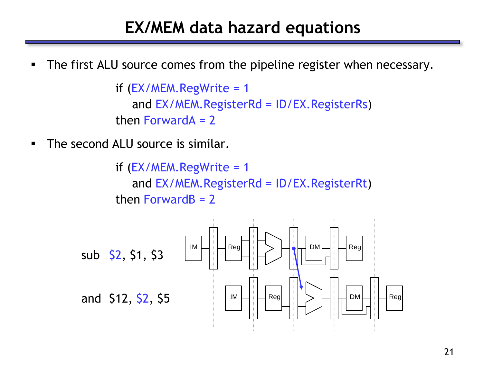#### **EX/MEM data hazard equations**

**The first ALU source comes from the pipeline register when necessary.** 

```
if (EX/MEM.RegWrite = 1
   and EX/MEM.RegisterRd = ID/EX.RegisterRs)
then ForwardA = 2
```
**The second ALU source is similar.** 

if  $(EX/MEM.RegWrite = 1$ and EX/MEM.RegisterRd = ID/EX.RegisterRt) then Forward $B = 2$ 

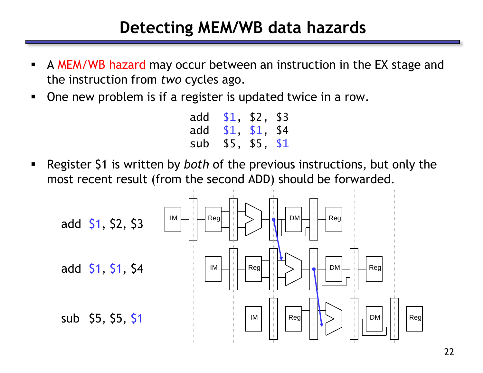### **Detecting MEM/WB data hazards**

- A MEM/WB hazard may occur between an instruction in the EX stage and the instruction from *two* cycles ago.
- One new problem is if a register is updated twice in a row.

| add | \$1, \$2,     | \$3 |
|-----|---------------|-----|
| add | \$1, \$1, \$4 |     |
| sub | \$5, \$5, \$1 |     |

 Register \$1 is written by *both* of the previous instructions, but only the most recent result (from the second ADD) should be forwarded.

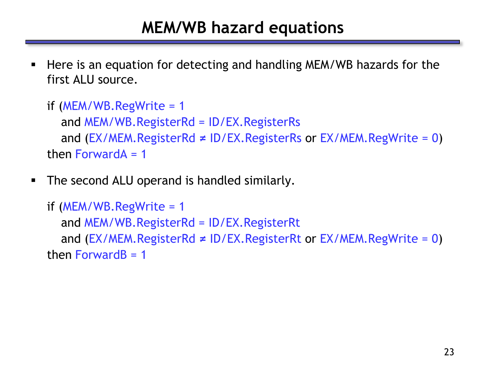## **MEM/WB hazard equations**

 Here is an equation for detecting and handling MEM/WB hazards for the first ALU source.

```
if (MEM/WB.RegWrite = 1
  and MEM/WB.RegisterRd = ID/EX.RegisterRs
  and (EX/MEM.RegisterRd ≠ ID/EX.RegisterRs or EX/MEM.RegWrite = 0)
then ForwardA = 1
```
**The second ALU operand is handled similarly.** 

```
if (MEM/WB.RegWrite = 1
  and MEM/WB.RegisterRd = ID/EX.RegisterRt
  and (EX/MEM.RegisterRd ≠ ID/EX.RegisterRt or EX/MEM.RegWrite = 0)
then ForwardB = 1
```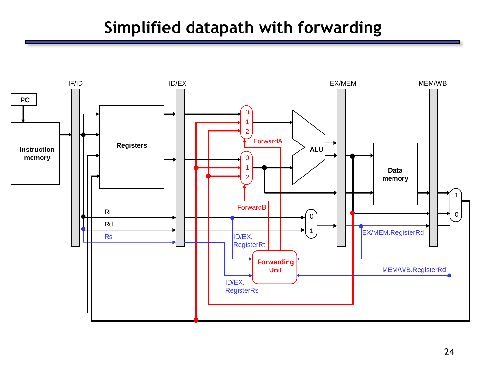## **Simplified datapath with forwarding**

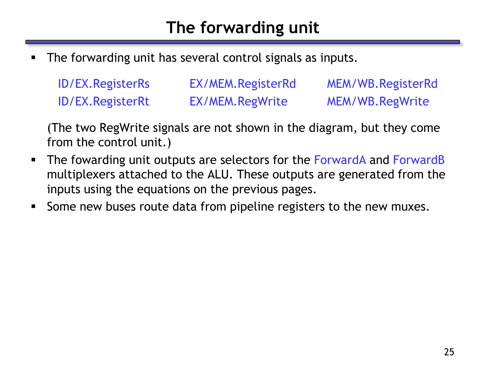# **The forwarding unit**

The forwarding unit has several control signals as inputs.

| <b>ID/EX. Register Rs</b> | EX/MEM.RegisterRd | MEM/WB.RegisterRd |
|---------------------------|-------------------|-------------------|
| <b>ID/EX. Register Rt</b> | EX/MEM.RegWrite   | MEM/WB.RegWrite   |

(The two RegWrite signals are not shown in the diagram, but they come from the control unit.)

- **The fowarding unit outputs are selectors for the ForwardA and ForwardB** multiplexers attached to the ALU. These outputs are generated from the inputs using the equations on the previous pages.
- **Some new buses route data from pipeline registers to the new muxes.**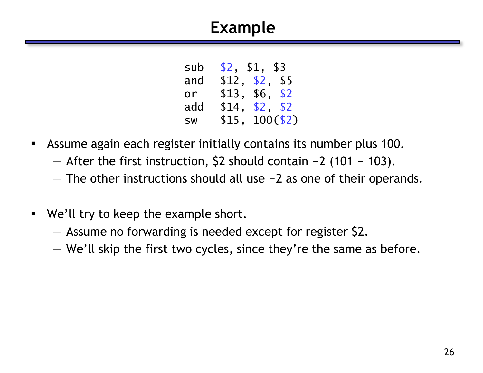## **Example**

| sub       | \$2, \$1, \$3  |             |
|-----------|----------------|-------------|
| and       | \$12, \$2, \$5 |             |
| or        | \$13.          | \$6, \$2    |
| add       | \$14,          | \$2, \$2    |
| <b>SW</b> | \$15.          | $100($ \$2) |

- Assume again each register initially contains its number plus 100.
	- $-$  After the first instruction, \$2 should contain  $-2$  (101 103).
	- $-$  The other instructions should all use  $-2$  as one of their operands.
- We'll try to keep the example short.
	- Assume no forwarding is needed except for register \$2.
	- We'll skip the first two cycles, since they're the same as before.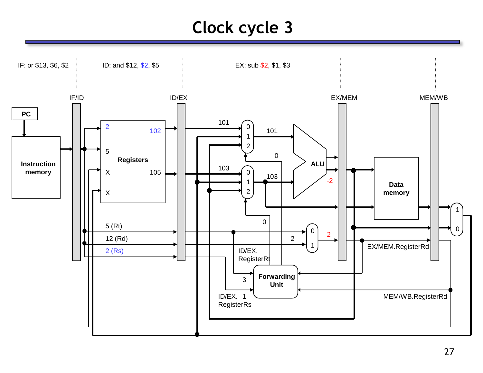# **Clock cycle 3**

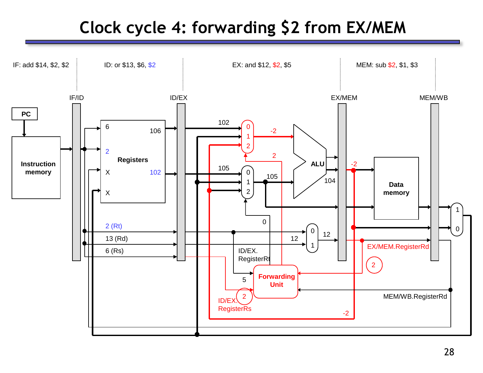## **Clock cycle 4: forwarding \$2 from EX/MEM**

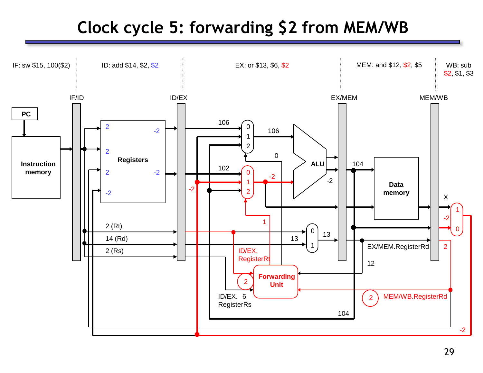# **Clock cycle 5: forwarding \$2 from MEM/WB**

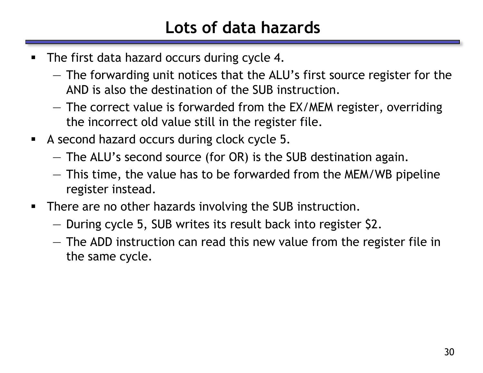# **Lots of data hazards**

- The first data hazard occurs during cycle 4.
	- The forwarding unit notices that the ALU's first source register for the AND is also the destination of the SUB instruction.
	- The correct value is forwarded from the EX/MEM register, overriding the incorrect old value still in the register file.
- A second hazard occurs during clock cycle 5.
	- The ALU's second source (for OR) is the SUB destination again.
	- This time, the value has to be forwarded from the MEM/WB pipeline register instead.
- **There are no other hazards involving the SUB instruction.** 
	- During cycle 5, SUB writes its result back into register \$2.
	- The ADD instruction can read this new value from the register file in the same cycle.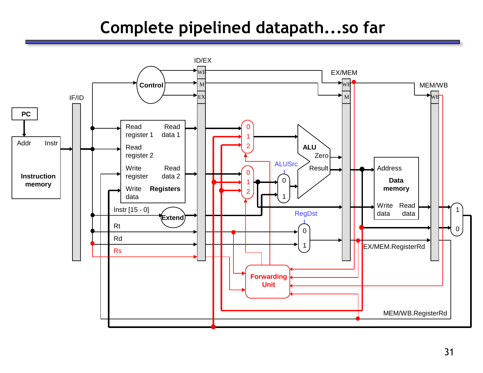## **Complete pipelined datapath...so far**

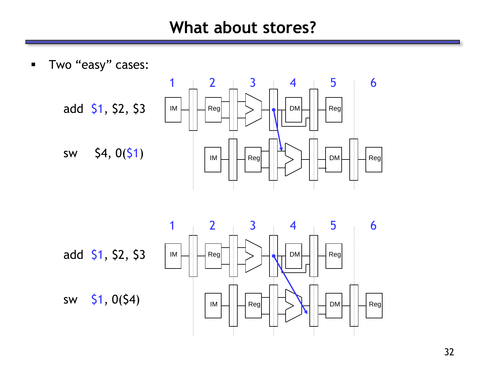#### **What about stores?**

**Two "easy" cases:** 





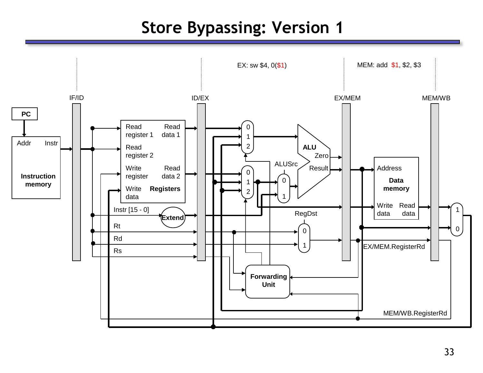## **Store Bypassing: Version 1**

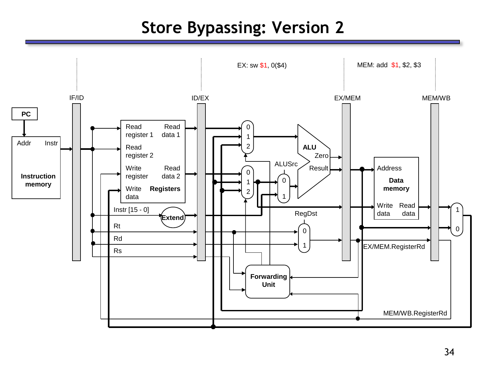## **Store Bypassing: Version 2**

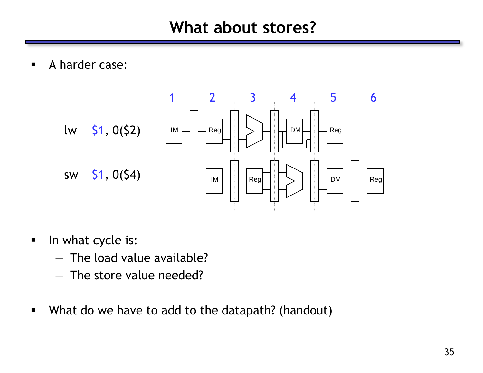**A** harder case:



- In what cycle is:
	- The load value available?
	- The store value needed?
- What do we have to add to the datapath? (handout)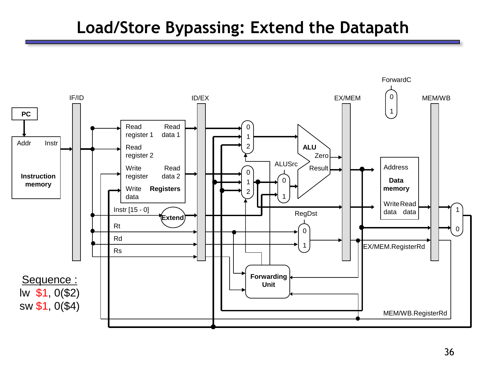## **Load/Store Bypassing: Extend the Datapath**

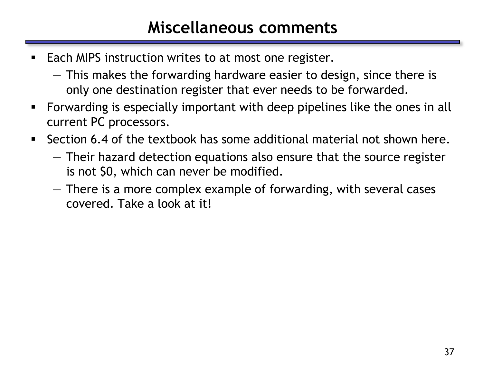#### **Miscellaneous comments**

- Each MIPS instruction writes to at most one register.
	- This makes the forwarding hardware easier to design, since there is only one destination register that ever needs to be forwarded.
- Forwarding is especially important with deep pipelines like the ones in all current PC processors.
- Section 6.4 of the textbook has some additional material not shown here.
	- Their hazard detection equations also ensure that the source register is not \$0, which can never be modified.
	- There is a more complex example of forwarding, with several cases covered. Take a look at it!